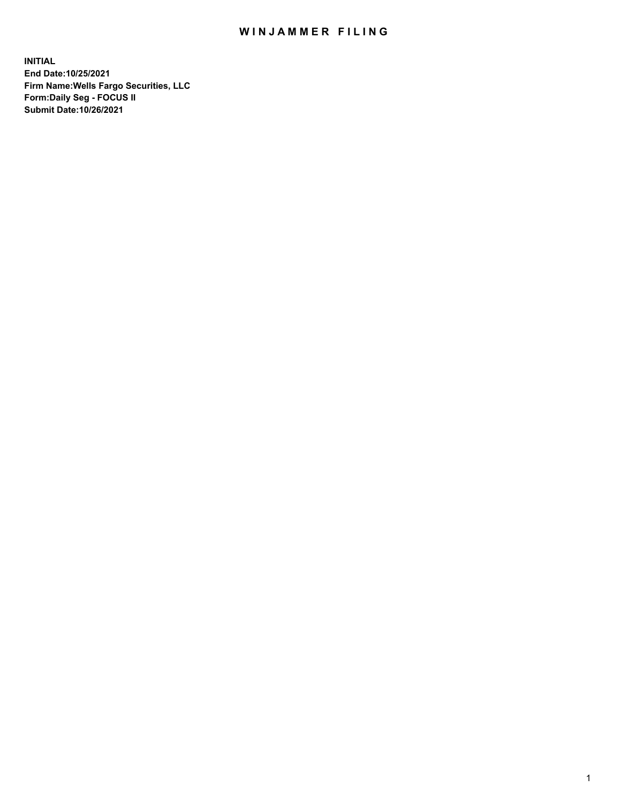## WIN JAMMER FILING

**INITIAL End Date:10/25/2021 Firm Name:Wells Fargo Securities, LLC Form:Daily Seg - FOCUS II Submit Date:10/26/2021**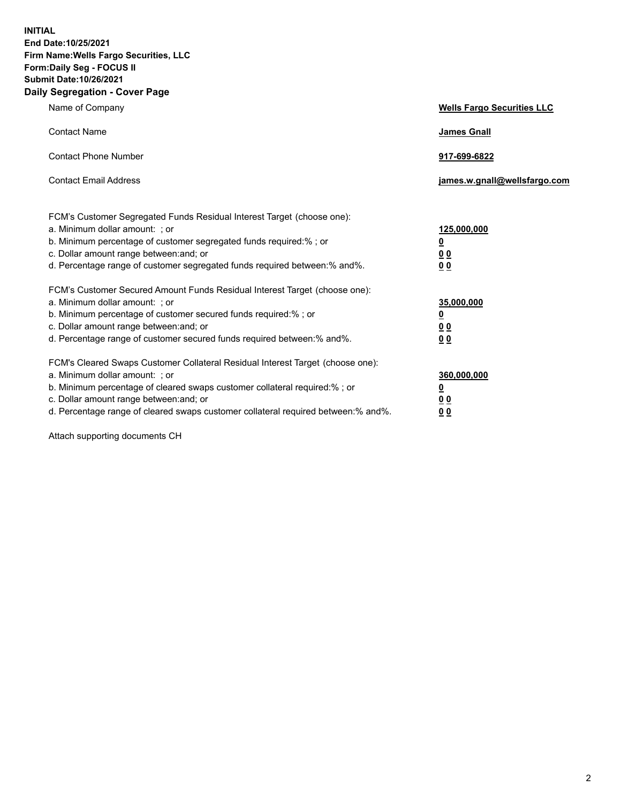**INITIAL End Date:10/25/2021 Firm Name:Wells Fargo Securities, LLC Form:Daily Seg - FOCUS II Submit Date:10/26/2021 Daily Segregation - Cover Page**

| Name of Company                                                                                                                                                                                                                                                                                                                | <b>Wells Fargo Securities LLC</b>                          |
|--------------------------------------------------------------------------------------------------------------------------------------------------------------------------------------------------------------------------------------------------------------------------------------------------------------------------------|------------------------------------------------------------|
| <b>Contact Name</b>                                                                                                                                                                                                                                                                                                            | <b>James Gnall</b>                                         |
| <b>Contact Phone Number</b>                                                                                                                                                                                                                                                                                                    | 917-699-6822                                               |
| <b>Contact Email Address</b>                                                                                                                                                                                                                                                                                                   | james.w.gnall@wellsfargo.com                               |
| FCM's Customer Segregated Funds Residual Interest Target (choose one):<br>a. Minimum dollar amount: ; or<br>b. Minimum percentage of customer segregated funds required:% ; or<br>c. Dollar amount range between: and; or<br>d. Percentage range of customer segregated funds required between:% and%.                         | 125,000,000<br>$\underline{\mathbf{0}}$<br>00<br>00        |
| FCM's Customer Secured Amount Funds Residual Interest Target (choose one):<br>a. Minimum dollar amount: ; or<br>b. Minimum percentage of customer secured funds required:%; or<br>c. Dollar amount range between: and; or<br>d. Percentage range of customer secured funds required between:% and%.                            | 35,000,000<br><u>0</u><br>0 <sub>0</sub><br>0 <sub>0</sub> |
| FCM's Cleared Swaps Customer Collateral Residual Interest Target (choose one):<br>a. Minimum dollar amount: ; or<br>b. Minimum percentage of cleared swaps customer collateral required:% ; or<br>c. Dollar amount range between: and; or<br>d. Percentage range of cleared swaps customer collateral required between:% and%. | 360,000,000<br><u>0</u><br>0 Q<br><u>00</u>                |

Attach supporting documents CH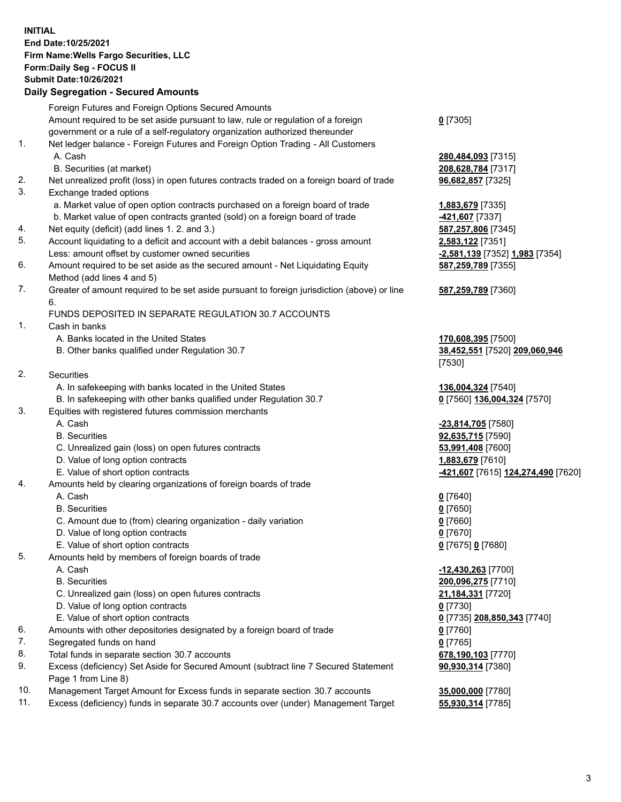**INITIAL End Date:10/25/2021 Firm Name:Wells Fargo Securities, LLC Form:Daily Seg - FOCUS II Submit Date:10/26/2021**

## **Daily Segregation - Secured Amounts**

|     | Foreign Futures and Foreign Options Secured Amounts                                         |                                    |
|-----|---------------------------------------------------------------------------------------------|------------------------------------|
|     | Amount required to be set aside pursuant to law, rule or regulation of a foreign            | $0$ [7305]                         |
|     | government or a rule of a self-regulatory organization authorized thereunder                |                                    |
| 1.  | Net ledger balance - Foreign Futures and Foreign Option Trading - All Customers             |                                    |
|     | A. Cash                                                                                     | 280,484,093 [7315]                 |
|     | B. Securities (at market)                                                                   | 208,628,784 [7317]                 |
| 2.  | Net unrealized profit (loss) in open futures contracts traded on a foreign board of trade   | 96,682,857 [7325]                  |
| 3.  | Exchange traded options                                                                     |                                    |
|     | a. Market value of open option contracts purchased on a foreign board of trade              | 1,883,679 [7335]                   |
|     | b. Market value of open contracts granted (sold) on a foreign board of trade                | -421,607 [7337]                    |
| 4.  | Net equity (deficit) (add lines 1. 2. and 3.)                                               | 587,257,806 [7345]                 |
| 5.  | Account liquidating to a deficit and account with a debit balances - gross amount           | 2,583,122 [7351]                   |
|     | Less: amount offset by customer owned securities                                            | -2,581,139 [7352] 1,983 [7354]     |
| 6.  | Amount required to be set aside as the secured amount - Net Liquidating Equity              | 587,259,789 [7355]                 |
|     | Method (add lines 4 and 5)                                                                  |                                    |
| 7.  | Greater of amount required to be set aside pursuant to foreign jurisdiction (above) or line | 587,259,789 [7360]                 |
|     | 6.                                                                                          |                                    |
|     | FUNDS DEPOSITED IN SEPARATE REGULATION 30.7 ACCOUNTS                                        |                                    |
| 1.  | Cash in banks                                                                               |                                    |
|     | A. Banks located in the United States                                                       | 170,608,395 [7500]                 |
|     | B. Other banks qualified under Regulation 30.7                                              | 38,452,551 [7520] 209,060,946      |
|     |                                                                                             | [7530]                             |
| 2.  | <b>Securities</b>                                                                           |                                    |
|     | A. In safekeeping with banks located in the United States                                   | 136,004,324 [7540]                 |
|     | B. In safekeeping with other banks qualified under Regulation 30.7                          | 0 [7560] 136,004,324 [7570]        |
| 3.  | Equities with registered futures commission merchants                                       |                                    |
|     | A. Cash                                                                                     | -23,814,705 [7580]                 |
|     | <b>B.</b> Securities                                                                        | 92,635,715 [7590]                  |
|     | C. Unrealized gain (loss) on open futures contracts                                         | 53,991,408 [7600]                  |
|     | D. Value of long option contracts                                                           | 1,883,679 [7610]                   |
|     | E. Value of short option contracts                                                          | -421,607 [7615] 124,274,490 [7620] |
| 4.  | Amounts held by clearing organizations of foreign boards of trade                           |                                    |
|     | A. Cash                                                                                     | $0$ [7640]                         |
|     | <b>B.</b> Securities                                                                        | $0$ [7650]                         |
|     | C. Amount due to (from) clearing organization - daily variation                             | $0$ [7660]                         |
|     | D. Value of long option contracts                                                           | $0$ [7670]                         |
|     | E. Value of short option contracts                                                          | 0 [7675] 0 [7680]                  |
| 5.  | Amounts held by members of foreign boards of trade                                          |                                    |
|     | A. Cash                                                                                     | $-12,430,263$ [7700]               |
|     | <b>B.</b> Securities                                                                        | 200,096,275 [7710]                 |
|     | C. Unrealized gain (loss) on open futures contracts                                         | 21,184,331 [7720]                  |
|     | D. Value of long option contracts                                                           | $0$ [7730]                         |
|     | E. Value of short option contracts                                                          | 0 [7735] 208,850,343 [7740]        |
| 6.  | Amounts with other depositories designated by a foreign board of trade                      | $0$ [7760]                         |
| 7.  | Segregated funds on hand                                                                    | $0$ [7765]                         |
| 8.  | Total funds in separate section 30.7 accounts                                               | 678,190,103 [7770]                 |
| 9.  | Excess (deficiency) Set Aside for Secured Amount (subtract line 7 Secured Statement         | 90,930,314 [7380]                  |
|     | Page 1 from Line 8)                                                                         |                                    |
| 10. | Management Target Amount for Excess funds in separate section 30.7 accounts                 | 35,000,000 [7780]                  |

11. Excess (deficiency) funds in separate 30.7 accounts over (under) Management Target **55,930,314** [7785]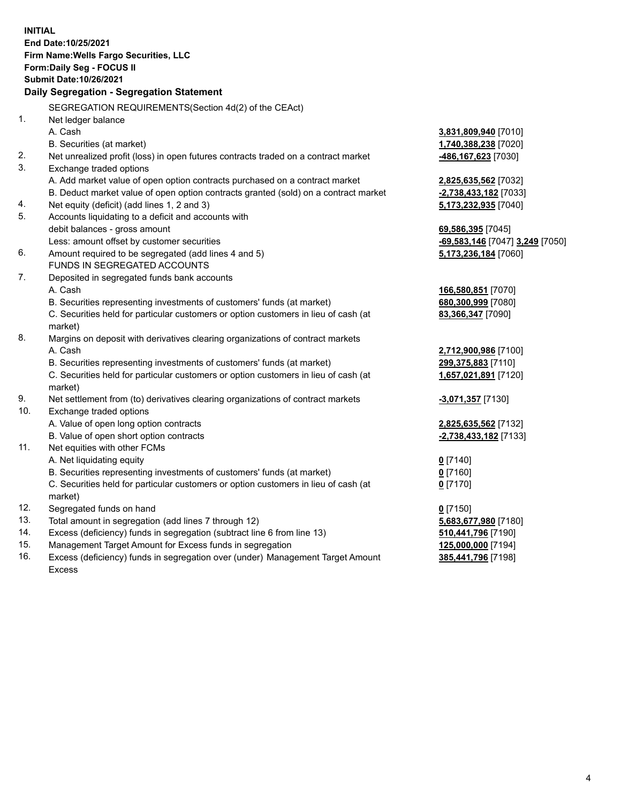**INITIAL End Date:10/25/2021 Firm Name:Wells Fargo Securities, LLC Form:Daily Seg - FOCUS II Submit Date:10/26/2021 Daily Segregation - Segregation Statement** SEGREGATION REQUIREMENTS(Section 4d(2) of the CEAct) 1. Net ledger balance A. Cash **3,831,809,940** [7010] B. Securities (at market) **1,740,388,238** [7020] 2. Net unrealized profit (loss) in open futures contracts traded on a contract market **-486,167,623** [7030] 3. Exchange traded options A. Add market value of open option contracts purchased on a contract market **2,825,635,562** [7032] B. Deduct market value of open option contracts granted (sold) on a contract market **-2,738,433,182** [7033] 4. Net equity (deficit) (add lines 1, 2 and 3) **5,173,232,935** [7040] 5. Accounts liquidating to a deficit and accounts with debit balances - gross amount **69,586,395** [7045] Less: amount offset by customer securities **-69,583,146** [7047] **3,249** [7050] 6. Amount required to be segregated (add lines 4 and 5) **5,173,236,184** [7060] FUNDS IN SEGREGATED ACCOUNTS 7. Deposited in segregated funds bank accounts A. Cash **166,580,851** [7070] B. Securities representing investments of customers' funds (at market) **680,300,999** [7080] C. Securities held for particular customers or option customers in lieu of cash (at market) **83,366,347** [7090] 8. Margins on deposit with derivatives clearing organizations of contract markets A. Cash **2,712,900,986** [7100] B. Securities representing investments of customers' funds (at market) **299,375,883** [7110] C. Securities held for particular customers or option customers in lieu of cash (at market) **1,657,021,891** [7120] 9. Net settlement from (to) derivatives clearing organizations of contract markets **-3,071,357** [7130] 10. Exchange traded options A. Value of open long option contracts **2,825,635,562** [7132] B. Value of open short option contracts **-2,738,433,182** [7133] 11. Net equities with other FCMs A. Net liquidating equity **0** [7140] B. Securities representing investments of customers' funds (at market) **0** [7160] C. Securities held for particular customers or option customers in lieu of cash (at market) **0** [7170] 12. Segregated funds on hand **0** [7150] 13. Total amount in segregation (add lines 7 through 12) **5,683,677,980** [7180] 14. Excess (deficiency) funds in segregation (subtract line 6 from line 13) **510,441,796** [7190]

- 15. Management Target Amount for Excess funds in segregation **125,000,000** [7194]
- 16. Excess (deficiency) funds in segregation over (under) Management Target Amount Excess

**385,441,796** [7198]